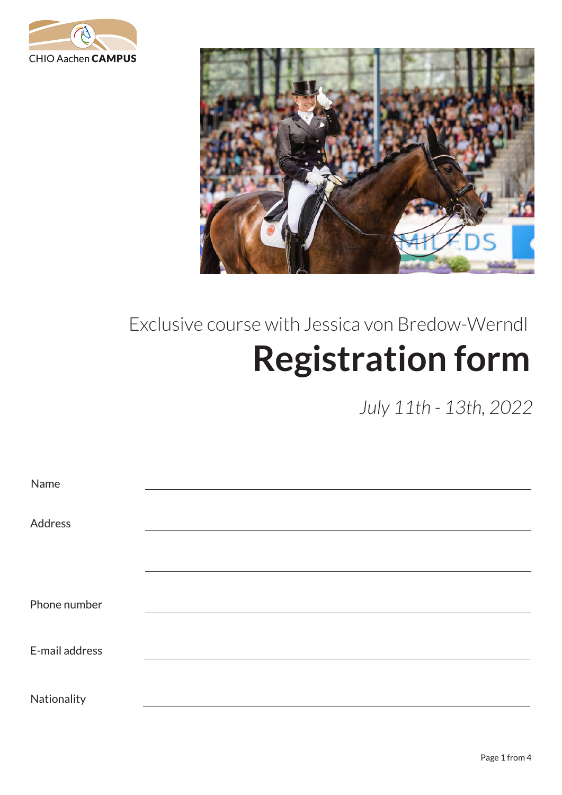



## Exclusive course with Jessica von Bredow-Werndl **Registration form**

*July 11th - 13th, 2022*

| Name           |  |  |
|----------------|--|--|
| Address        |  |  |
|                |  |  |
| Phone number   |  |  |
| E-mail address |  |  |
| Nationality    |  |  |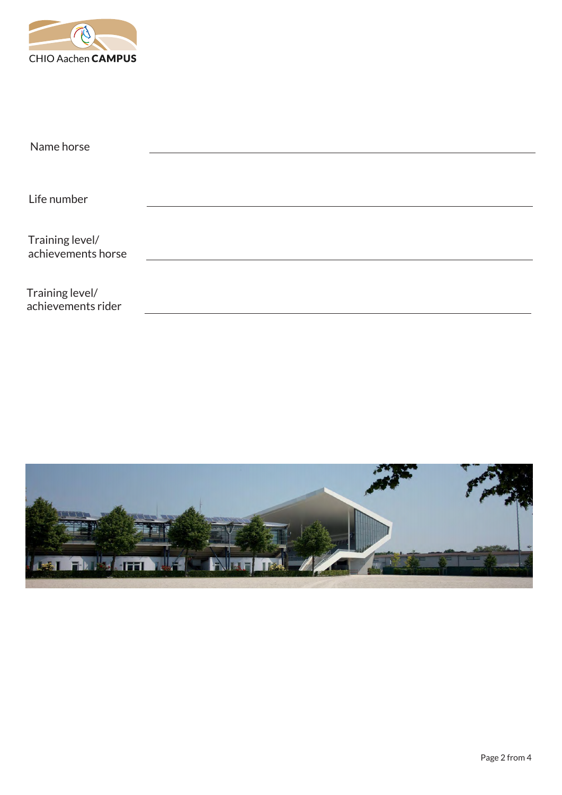

| Name horse                            |  |  |  |
|---------------------------------------|--|--|--|
|                                       |  |  |  |
|                                       |  |  |  |
| Life number                           |  |  |  |
|                                       |  |  |  |
|                                       |  |  |  |
| Training level/<br>achievements horse |  |  |  |
|                                       |  |  |  |
|                                       |  |  |  |
| Training level/<br>achievements rider |  |  |  |
|                                       |  |  |  |

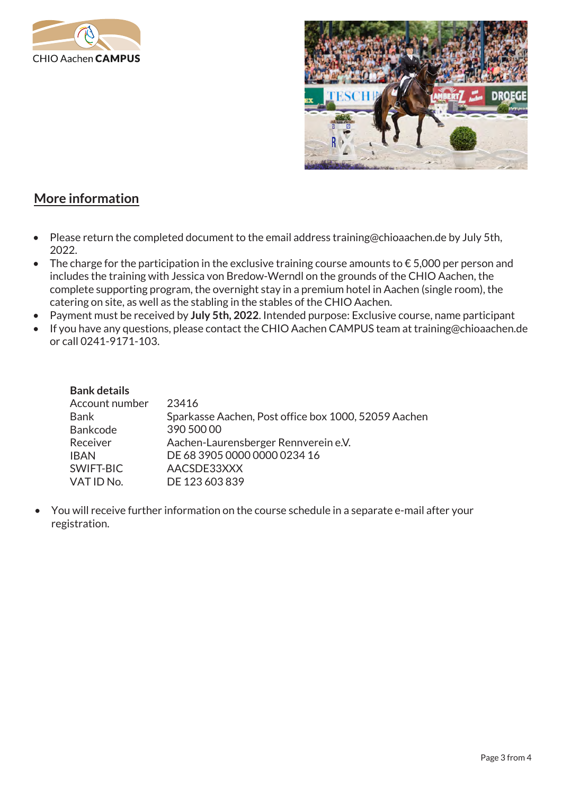



## **More information**

- Please return the completed document to the email address training@chioaachen.de by July 5th, 2022.
- The charge for the participation in the exclusive training course amounts to  $\epsilon$  5,000 per person and includes the training with Jessica von Bredow-Werndl on the grounds of the CHIO Aachen, the complete supporting program, the overnight stay in a premium hotel in Aachen (single room), the catering on site, as well as the stabling in the stables of the CHIO Aachen.
- Payment must be received by **July 5th, 2022**. Intended purpose: Exclusive course, name participant
- If you have any questions, please contact the CHIO Aachen CAMPUS team at training@chioaachen.de or call 0241-9171-103.

| <b>Bank details</b> |                                                      |
|---------------------|------------------------------------------------------|
| Account number      | 23416                                                |
| <b>Bank</b>         | Sparkasse Aachen, Post office box 1000, 52059 Aachen |
| <b>Bankcode</b>     | 390 500 00                                           |
| Receiver            | Aachen-Laurensberger Rennverein e.V.                 |
| <b>IBAN</b>         | DE 68 3905 0000 0000 0234 16                         |
| SWIFT-BIC           | AACSDE33XXX                                          |
| VAT ID No.          | DE 123 603 839                                       |

• You will receive further information on the course schedule in a separate e-mail after your registration.